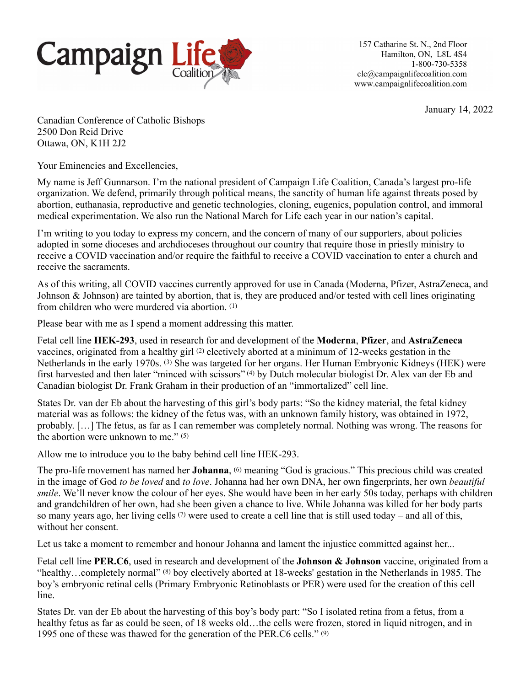

157 Catharine St. N., 2nd Floor Hamilton, ON, L8L 4S4 1-800-730-5358  $clc\alpha$ campaignlifecoalition.com www.campaignlifecoalition.com

January 14, 2022

Canadian Conference of Catholic Bishops 2500 Don Reid Drive Ottawa, ON, K1H 2J2

Your Eminencies and Excellencies,

My name is Jeff Gunnarson. I'm the national president of Campaign Life Coalition, Canada's largest pro-life organization. We defend, primarily through political means, the sanctity of human life against threats posed by abortion, euthanasia, reproductive and genetic technologies, cloning, eugenics, population control, and immoral medical experimentation. We also run the National March for Life each year in our nation's capital.

I'm writing to you today to express my concern, and the concern of many of our supporters, about policies adopted in some dioceses and archdioceses throughout our country that require those in priestly ministry to receive a COVID vaccination and/or require the faithful to receive a COVID vaccination to enter a church and receive the sacraments.

As of this writing, all COVID vaccines currently approved for use in Canada (Moderna, Pfizer, AstraZeneca, and Johnson & Johnson) are tainted by abortion, that is, they are produced and/or tested with cell lines originating from children who were murdered via abortion. (1)

Please bear with me as I spend a moment addressing this matter.

Fetal cell line **HEK-293**, used in research for and development of the **Moderna**, **Pfizer**, and **AstraZeneca** vaccines, originated from a healthy girl (2) electively aborted at a minimum of 12-weeks gestation in the Netherlands in the early 1970s. (3) She was targeted for her organs. Her Human Embryonic Kidneys (HEK) were first harvested and then later "minced with scissors" (4) by Dutch molecular biologist Dr. Alex van der Eb and Canadian biologist Dr. Frank Graham in their production of an "immortalized" cell line.

States Dr. van der Eb about the harvesting of this girl's body parts: "So the kidney material, the fetal kidney material was as follows: the kidney of the fetus was, with an unknown family history, was obtained in 1972, probably. […] The fetus, as far as I can remember was completely normal. Nothing was wrong. The reasons for the abortion were unknown to me."  $(5)$ 

Allow me to introduce you to the baby behind cell line HEK-293.

The pro-life movement has named her **Johanna**, <sup>(6)</sup> meaning "God is gracious." This precious child was created in the image of God *to be loved* and *to love*. Johanna had her own DNA, her own fingerprints, her own *beautiful smile*. We'll never know the colour of her eyes. She would have been in her early 50s today, perhaps with children and grandchildren of her own, had she been given a chance to live. While Johanna was killed for her body parts so many years ago, her living cells  $(7)$  were used to create a cell line that is still used today – and all of this, without her consent.

Let us take a moment to remember and honour Johanna and lament the injustice committed against her...

Fetal cell line **PER.C6**, used in research and development of the **Johnson & Johnson** vaccine, originated from a "healthy…completely normal" (8) boy electively aborted at 18-weeks' gestation in the Netherlands in 1985. The boy's embryonic retinal cells (Primary Embryonic Retinoblasts or PER) were used for the creation of this cell line.

States Dr. van der Eb about the harvesting of this boy's body part: "So I isolated retina from a fetus, from a healthy fetus as far as could be seen, of 18 weeks old...the cells were frozen, stored in liquid nitrogen, and in 1995 one of these was thawed for the generation of the PER.C6 cells." (9)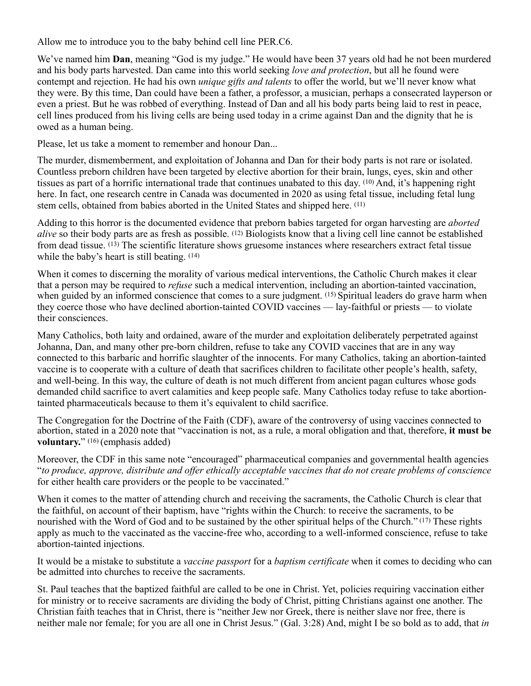Allow me to introduce you to the baby behind cell line PER.C6.

We've named him **Dan**, meaning "God is my judge." He would have been 37 years old had he not been murdered and his body parts harvested. Dan came into this world seeking *love and protection*, but all he found were contempt and rejection. He had his own *unique gifts and talents* to offer the world, but we'll never know what they were. By this time, Dan could have been a father, a professor, a musician, perhaps a consecrated layperson or even a priest. But he was robbed of everything. Instead of Dan and all his body parts being laid to rest in peace, cell lines produced from his living cells are being used today in a crime against Dan and the dignity that he is owed as a human being.

Please, let us take a moment to remember and honour Dan...

The murder, dismemberment, and exploitation of Johanna and Dan for their body parts is not rare or isolated. Countless preborn children have been targeted by elective abortion for their brain, lungs, eyes, skin and other tissues as part of a horrific international trade that continues unabated to this day. (10) And, it's happening right here. In fact, one research centre in Canada was documented in 2020 as using fetal tissue, including fetal lung stem cells, obtained from babies aborted in the United States and shipped here. (11)

Adding to this horror is the documented evidence that preborn babies targeted for organ harvesting are *aborted alive* so their body parts are as fresh as possible. (12) Biologists know that a living cell line cannot be established from dead tissue. (13) The scientific literature shows gruesome instances where researchers extract fetal tissue while the baby's heart is still beating. (14)

When it comes to discerning the morality of various medical interventions, the Catholic Church makes it clear that a person may be required to *refuse* such a medical intervention, including an abortion-tainted vaccination, when guided by an informed conscience that comes to a sure judgment. <sup>(15)</sup> Spiritual leaders do grave harm when they coerce those who have declined abortion-tainted COVID vaccines — lay-faithful or priests — to violate their consciences.

Many Catholics, both laity and ordained, aware of the murder and exploitation deliberately perpetrated against Johanna, Dan, and many other pre-born children, refuse to take any COVID vaccines that are in any way connected to this barbaric and horrific slaughter of the innocents. For many Catholics, taking an abortion-tainted vaccine is to cooperate with a culture of death that sacrifices children to facilitate other people's health, safety, and well-being. In this way, the culture of death is not much different from ancient pagan cultures whose gods demanded child sacrifice to avert calamities and keep people safe. Many Catholics today refuse to take abortiontainted pharmaceuticals because to them it's equivalent to child sacrifice.

The Congregation for the Doctrine of the Faith (CDF), aware of the controversy of using vaccines connected to abortion, stated in a 2020 note that "vaccination is not, as a rule, a moral obligation and that, therefore, **it must be voluntary.**" (16) (emphasis added)

Moreover, the CDF in this same note "encouraged" pharmaceutical companies and governmental health agencies "*to produce, approve, distribute and offer ethically acceptable vaccines that do not create problems of conscience* for either health care providers or the people to be vaccinated."

When it comes to the matter of attending church and receiving the sacraments, the Catholic Church is clear that the faithful, on account of their baptism, have "rights within the Church: to receive the sacraments, to be nourished with the Word of God and to be sustained by the other spiritual helps of the Church." (17) These rights apply as much to the vaccinated as the vaccine-free who, according to a well-informed conscience, refuse to take abortion-tainted injections.

It would be a mistake to substitute a *vaccine passport* for a *baptism certificate* when it comes to deciding who can be admitted into churches to receive the sacraments.

St. Paul teaches that the baptized faithful are called to be one in Christ. Yet, policies requiring vaccination either for ministry or to receive sacraments are dividing the body of Christ, pitting Christians against one another. The Christian faith teaches that in Christ, there is "neither Jew nor Greek, there is neither slave nor free, there is neither male nor female; for you are all one in Christ Jesus." (Gal. 3:28) And, might I be so bold as to add, that *in*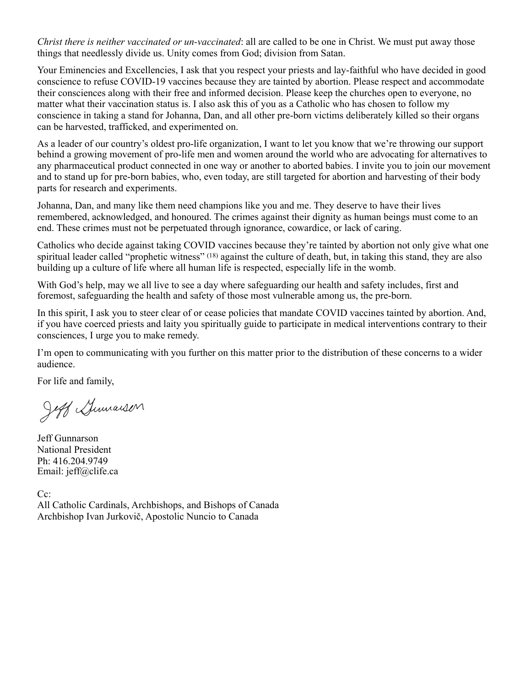*Christ there is neither vaccinated or un-vaccinated*: all are called to be one in Christ. We must put away those things that needlessly divide us. Unity comes from God; division from Satan.

Your Eminencies and Excellencies, I ask that you respect your priests and lay-faithful who have decided in good conscience to refuse COVID-19 vaccines because they are tainted by abortion. Please respect and accommodate their consciences along with their free and informed decision. Please keep the churches open to everyone, no matter what their vaccination status is. I also ask this of you as a Catholic who has chosen to follow my conscience in taking a stand for Johanna, Dan, and all other pre-born victims deliberately killed so their organs can be harvested, trafficked, and experimented on.

As a leader of our country's oldest pro-life organization, I want to let you know that we're throwing our support behind a growing movement of pro-life men and women around the world who are advocating for alternatives to any pharmaceutical product connected in one way or another to aborted babies. I invite you to join our movement and to stand up for pre-born babies, who, even today, are still targeted for abortion and harvesting of their body parts for research and experiments.

Johanna, Dan, and many like them need champions like you and me. They deserve to have their lives remembered, acknowledged, and honoured. The crimes against their dignity as human beings must come to an end. These crimes must not be perpetuated through ignorance, cowardice, or lack of caring.

Catholics who decide against taking COVID vaccines because they're tainted by abortion not only give what one spiritual leader called "prophetic witness" (18) against the culture of death, but, in taking this stand, they are also building up a culture of life where all human life is respected, especially life in the womb.

With God's help, may we all live to see a day where safeguarding our health and safety includes, first and foremost, safeguarding the health and safety of those most vulnerable among us, the pre-born.

In this spirit, I ask you to steer clear of or cease policies that mandate COVID vaccines tainted by abortion. And, if you have coerced priests and laity you spiritually guide to participate in medical interventions contrary to their consciences, I urge you to make remedy.

I'm open to communicating with you further on this matter prior to the distribution of these concerns to a wider audience.

For life and family,

Jeff Gumansen

Jeff Gunnarson National President Ph: 416.204.9749 Email: jeff@clife.ca

 $Cc$ : All Catholic Cardinals, Archbishops, and Bishops of Canada Archbishop Ivan Jurkovič, Apostolic Nuncio to Canada